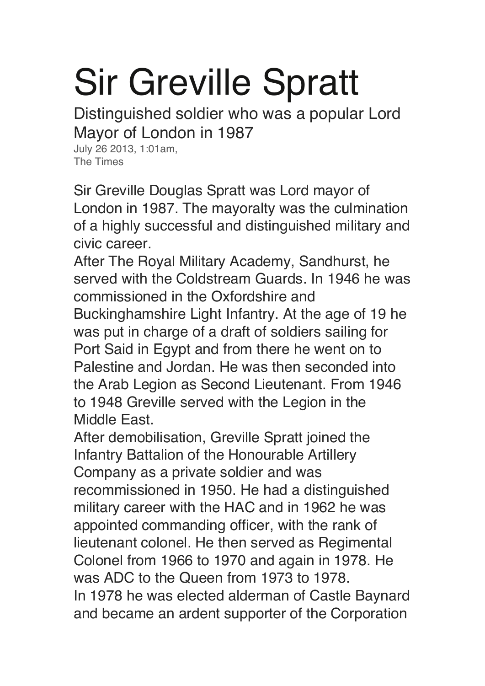## Sir Greville Spratt

Distinguished soldier who was a popular Lord Mayor of London in 1987

July 26 2013, 1:01am, The Times

Sir Greville Douglas Spratt was Lord mayor of London in 1987. The mayoralty was the culmination of a highly successful and distinguished military and civic career.

After The Royal Military Academy, Sandhurst, he served with the Coldstream Guards. In 1946 he was commissioned in the Oxfordshire and

Buckinghamshire Light Infantry. At the age of 19 he was put in charge of a draft of soldiers sailing for Port Said in Egypt and from there he went on to Palestine and Jordan. He was then seconded into the Arab Legion as Second Lieutenant. From 1946 to 1948 Greville served with the Legion in the Middle East.

After demobilisation, Greville Spratt joined the Infantry Battalion of the Honourable Artillery Company as a private soldier and was recommissioned in 1950. He had a distinguished military career with the HAC and in 1962 he was appointed commanding officer, with the rank of lieutenant colonel. He then served as Regimental Colonel from 1966 to 1970 and again in 1978. He was ADC to the Queen from 1973 to 1978. In 1978 he was elected alderman of Castle Baynard and became an ardent supporter of the Corporation